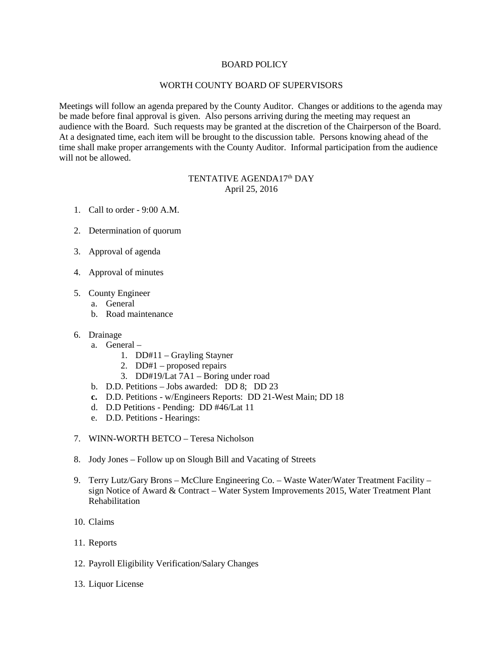## BOARD POLICY

## WORTH COUNTY BOARD OF SUPERVISORS

Meetings will follow an agenda prepared by the County Auditor. Changes or additions to the agenda may be made before final approval is given. Also persons arriving during the meeting may request an audience with the Board. Such requests may be granted at the discretion of the Chairperson of the Board. At a designated time, each item will be brought to the discussion table. Persons knowing ahead of the time shall make proper arrangements with the County Auditor. Informal participation from the audience will not be allowed.

## TENTATIVE AGENDA17<sup>th</sup> DAY April 25, 2016

- 1. Call to order 9:00 A.M.
- 2. Determination of quorum
- 3. Approval of agenda
- 4. Approval of minutes
- 5. County Engineer
	- a. General
	- b. Road maintenance
- 6. Drainage
	- a. General
		- 1. DD#11 Grayling Stayner
		- 2. DD#1 proposed repairs
		- 3. DD#19/Lat 7A1 Boring under road
	- b. D.D. Petitions Jobs awarded: DD 8; DD 23
	- **c.** D.D. Petitions w/Engineers Reports: DD 21-West Main; DD 18
	- d. D.D Petitions Pending: DD #46/Lat 11
	- e. D.D. Petitions Hearings:
- 7. WINN-WORTH BETCO Teresa Nicholson
- 8. Jody Jones Follow up on Slough Bill and Vacating of Streets
- 9. Terry Lutz/Gary Brons McClure Engineering Co. Waste Water/Water Treatment Facility sign Notice of Award & Contract – Water System Improvements 2015, Water Treatment Plant Rehabilitation
- 10. Claims
- 11. Reports
- 12. Payroll Eligibility Verification/Salary Changes
- 13. Liquor License